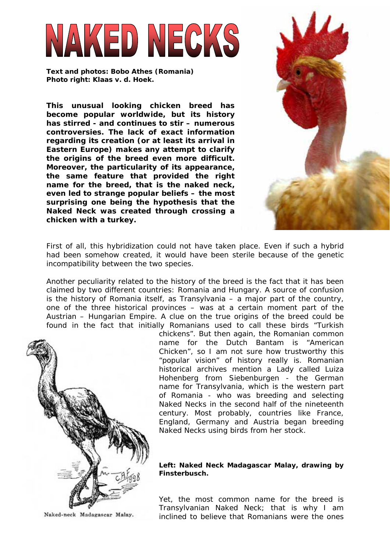# VAKED NECKS

**Text and photos: Bobo Athes (Romania) Photo right: Klaas v. d. Hoek.** 

**This unusual looking chicken breed has become popular worldwide, but its history has stirred - and continues to stir – numerous controversies. The lack of exact information regarding its creation (or at least its arrival in Eastern Europe) makes any attempt to clarify the origins of the breed even more difficult. Moreover, the particularity of its appearance, the same feature that provided the right name for the breed, that is the naked neck, even led to strange popular beliefs – the most surprising one being the hypothesis that the Naked Neck was created through crossing a chicken with a turkey.** 



First of all, this hybridization could not have taken place. Even if such a hybrid had been somehow created, it would have been sterile because of the genetic incompatibility between the two species.

Another peculiarity related to the history of the breed is the fact that it has been claimed by two different countries: Romania and Hungary. A source of confusion is the history of Romania itself, as Transylvania – a major part of the country, one of the three historical provinces – was at a certain moment part of the Austrian – Hungarian Empire. A clue on the true origins of the breed could be found in the fact that initially Romanians used to call these birds "Turkish



chickens". But then again, the Romanian common name for the Dutch Bantam is "American Chicken", so I am not sure how trustworthy this "popular vision" of history really is. Romanian historical archives mention a Lady called Luiza Hohenberg from Siebenburgen - the German name for Transylvania, which is the western part of Romania - who was breeding and selecting Naked Necks in the second half of the nineteenth century. Most probably, countries like France, England, Germany and Austria began breeding Naked Necks using birds from her stock.

# **Left: Naked Neck Madagascar Malay, drawing by Finsterbusch.**

Yet, the most common name for the breed is Transylvanian Naked Neck; that is why I am inclined to believe that Romanians were the ones

Naked-neck Madagascar Malay.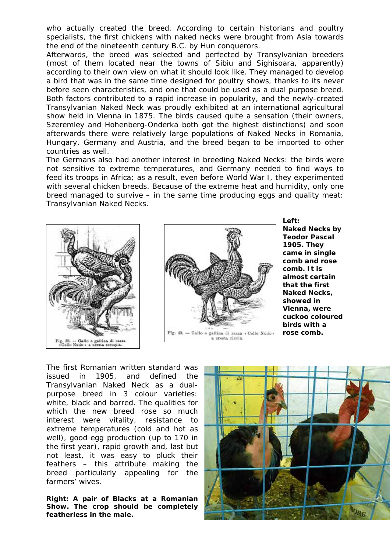who actually created the breed. According to certain historians and poultry specialists, the first chickens with naked necks were brought from Asia towards the end of the nineteenth century B.C. by Hun conquerors.

Afterwards, the breed was selected and perfected by Transylvanian breeders (most of them located near the towns of Sibiu and Sighisoara, apparently) according to their own view on what it should look like. They managed to develop a bird that was in the same time designed for poultry shows, thanks to its never before seen characteristics, and one that could be used as a dual purpose breed. Both factors contributed to a rapid increase in popularity, and the newly-created Transylvanian Naked Neck was proudly exhibited at an international agricultural show held in Vienna in 1875. The birds caused quite a sensation (their owners, Szeremley and Hohenberg-Onderka both got the highest distinctions) and soon afterwards there were relatively large populations of Naked Necks in Romania, Hungary, Germany and Austria, and the breed began to be imported to other countries as well.

The Germans also had another interest in breeding Naked Necks: the birds were not sensitive to extreme temperatures, and Germany needed to find ways to feed its troops in Africa; as a result, even before World War I, they experimented with several chicken breeds. Because of the extreme heat and humidity, only one breed managed to survive – in the same time producing eggs and quality meat: Transylvanian Naked Necks.





**Left: Naked Necks by Teodor Pascal 1905. They came in single comb and rose comb. It is almost certain that the first Naked Necks, showed in Vienna, were cuckoo coloured birds with a rose comb.** 

The first Romanian written standard was issued in 1905, and defined the Transylvanian Naked Neck as a dualpurpose breed in 3 colour varieties: white, black and barred. The qualities for which the new breed rose so much interest were vitality, resistance to extreme temperatures (cold and hot as well), good egg production (up to 170 in the first year), rapid growth and, last but not least, it was easy to pluck their feathers – this attribute making the breed particularly appealing for the farmers' wives.

**Right: A pair of Blacks at a Romanian Show. The crop should be completely featherless in the male.** 

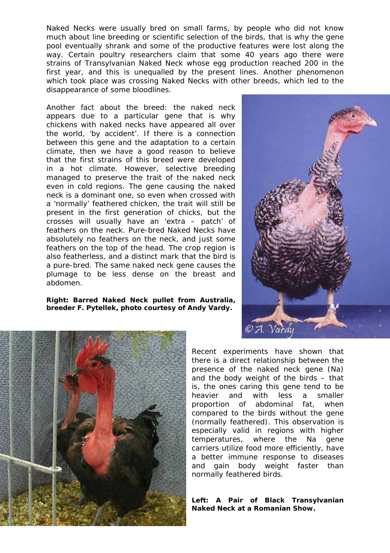Naked Necks were usually bred on small farms, by people who did not know much about line breeding or scientific selection of the birds, that is why the gene pool eventually shrank and some of the productive features were lost along the way. Certain poultry researchers claim that some 40 years ago there were strains of Transylvanian Naked Neck whose egg production reached 200 in the first year, and this is unequalled by the present lines. Another phenomenon which took place was crossing Naked Necks with other breeds, which led to the disappearance of some bloodlines.

Another fact about the breed: the naked neck appears due to a particular gene that is why chickens with naked necks have appeared all over the world, 'by accident'. If there is a connection between this gene and the adaptation to a certain climate, then we have a good reason to believe that the first strains of this breed were developed in a hot climate. However, selective breeding managed to preserve the trait of the naked neck even in cold regions. The gene causing the naked neck is a dominant one, so even when crossed with a 'normally' feathered chicken, the trait will still be present in the first generation of chicks, but the crosses will usually have an 'extra – patch' of feathers on the neck. Pure-bred Naked Necks have absolutely no feathers on the neck, and just some feathers on the top of the head. The crop region is also featherless, and a distinct mark that the bird is a pure-bred. The same naked neck gene causes the plumage to be less dense on the breast and abdomen.

**Right: Barred Naked Neck pullet from Australia, breeder F. Pytellek, photo courtesy of Andy Vardy.** 





Recent experiments have shown that there is a direct relationship between the presence of the naked neck gene (Na) and the body weight of the birds – that is, the ones caring this gene tend to be heavier and with less a smaller proportion of abdominal fat, when compared to the birds without the gene (normally feathered). This observation is especially valid in regions with higher temperatures, where the Na gene carriers utilize food more efficiently, have a better immune response to diseases and gain body weight faster than normally feathered birds.

## **Left: A Pair of Black Transylvanian Naked Neck at a Romanian Show.**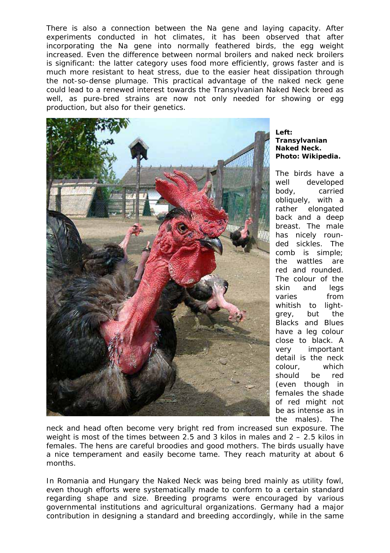There is also a connection between the Na gene and laying capacity. After experiments conducted in hot climates, it has been observed that after incorporating the Na gene into normally feathered birds, the egg weight increased. Even the difference between normal broilers and naked neck broilers is significant: the latter category uses food more efficiently, grows faster and is much more resistant to heat stress, due to the easier heat dissipation through the not-so-dense plumage. This practical advantage of the naked neck gene could lead to a renewed interest towards the Transylvanian Naked Neck breed as well, as pure-bred strains are now not only needed for showing or egg production, but also for their genetics.



## **Left: Transylvanian Naked Neck. Photo: Wikipedia.**

The birds have a well developed body, carried obliquely, with a rather elongated back and a deep breast. The male has nicely rounded sickles. The comb is simple; the wattles are red and rounded. The colour of the skin and legs varies from whitish to lightgrey, but the Blacks and Blues have a leg colour close to black. A very important detail is the neck colour, which should be red (even though in females the shade of red might not be as intense as in the males). The

neck and head often become very bright red from increased sun exposure. The weight is most of the times between 2.5 and 3 kilos in males and  $2 - 2.5$  kilos in females. The hens are careful broodies and good mothers. The birds usually have a nice temperament and easily become tame. They reach maturity at about 6 months.

In Romania and Hungary the Naked Neck was being bred mainly as utility fowl, even though efforts were systematically made to conform to a certain standard regarding shape and size. Breeding programs were encouraged by various governmental institutions and agricultural organizations. Germany had a major contribution in designing a standard and breeding accordingly, while in the same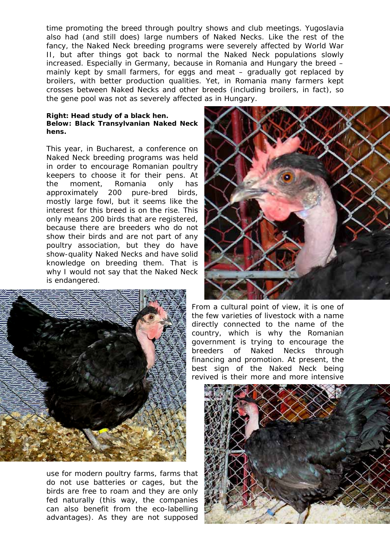time promoting the breed through poultry shows and club meetings. Yugoslavia also had (and still does) large numbers of Naked Necks. Like the rest of the fancy, the Naked Neck breeding programs were severely affected by World War II, but after things got back to normal the Naked Neck populations slowly increased. Especially in Germany, because in Romania and Hungary the breed – mainly kept by small farmers, for eggs and meat – gradually got replaced by broilers, with better production qualities. Yet, in Romania many farmers kept crosses between Naked Necks and other breeds (including broilers, in fact), so the gene pool was not as severely affected as in Hungary.

### **Right: Head study of a black hen. Below: Black Transylvanian Naked Neck hens.**

This year, in Bucharest, a conference on Naked Neck breeding programs was held in order to encourage Romanian poultry keepers to choose it for their pens. At the moment, Romania only has approximately 200 pure-bred birds, mostly large fowl, but it seems like the interest for this breed is on the rise. This only means 200 birds that are registered, because there are breeders who do not show their birds and are not part of any poultry association, but they do have show-quality Naked Necks and have solid knowledge on breeding them. That is why I would not say that the Naked Neck is endangered.



use for modern poultry farms, farms that do not use batteries or cages, but the birds are free to roam and they are only fed naturally (this way, the companies can also benefit from the eco-labelling advantages). As they are not supposed



From a cultural point of view, it is one of the few varieties of livestock with a name directly connected to the name of the country, which is why the Romanian government is trying to encourage the breeders of Naked Necks through financing and promotion. At present, the best sign of the Naked Neck being revived is their more and more intensive

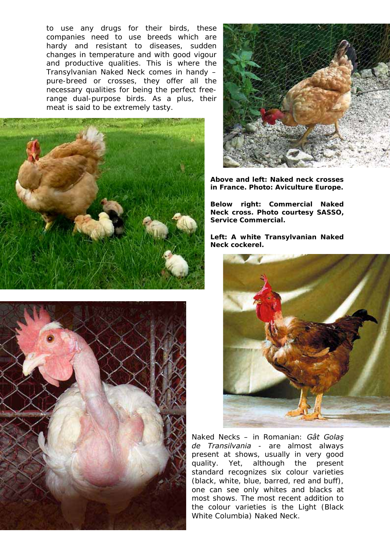to use any drugs for their birds, these companies need to use breeds which are hardy and resistant to diseases, sudden changes in temperature and with good vigour and productive qualities. This is where the Transylvanian Naked Neck comes in handy – pure-breed or crosses, they offer all the necessary qualities for being the perfect freerange dual-purpose birds. As a plus, their meat is said to be extremely tasty.







**Above and left: Naked neck crosses in France. Photo: Aviculture Europe.** 

**Below right: Commercial Naked Neck cross. Photo courtesy SASSO, Service Commercial.**

**Left: A white Transylvanian Naked Neck cockerel.** 



Naked Necks – in Romanian: *Gât Golaş de Transilvania* - are almost always present at shows, usually in very good quality. Yet, although the present standard recognizes six colour varieties (black, white, blue, barred, red and buff), one can see only whites and blacks at most shows. The most recent addition to the colour varieties is the Light (Black White Columbia) Naked Neck.